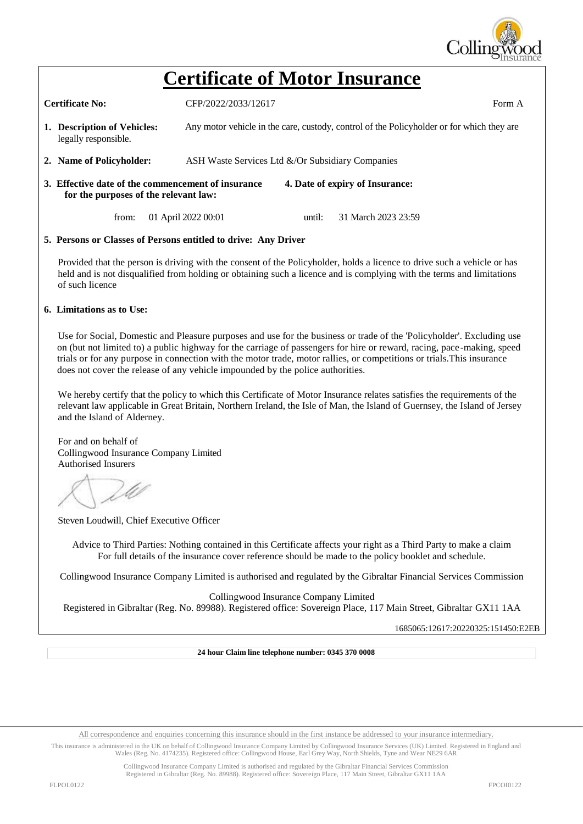

## **Certificate of Motor Insurance**

**Certificate No:**  $CFP/2022/2033/12617$  Form A

- **1. Description of Vehicles:** Any motor vehicle in the care, custody, control of the Policyholder or for which they are legally responsible.
- **2. Name of Policyholder:** ASH Waste Services Ltd &/Or Subsidiary Companies
- **3. Effective date of the commencement of insurance 4. Date of expiry of Insurance: for the purposes of the relevant law:**

from: 01 April 2022 00:01 until: 31 March 2023 23:59

## **5. Persons or Classes of Persons entitled to drive: Any Driver**

Provided that the person is driving with the consent of the Policyholder, holds a licence to drive such a vehicle or has held and is not disqualified from holding or obtaining such a licence and is complying with the terms and limitations of such licence

## **6. Limitations as to Use:**

Use for Social, Domestic and Pleasure purposes and use for the business or trade of the 'Policyholder'. Excluding use on (but not limited to) a public highway for the carriage of passengers for hire or reward, racing, pace-making, speed trials or for any purpose in connection with the motor trade, motor rallies, or competitions or trials.This insurance does not cover the release of any vehicle impounded by the police authorities.

We hereby certify that the policy to which this Certificate of Motor Insurance relates satisfies the requirements of the relevant law applicable in Great Britain, Northern Ireland, the Isle of Man, the Island of Guernsey, the Island of Jersey and the Island of Alderney.

For and on behalf of Collingwood Insurance Company Limited Authorised Insurers

Steven Loudwill, Chief Executive Officer

Advice to Third Parties: Nothing contained in this Certificate affects your right as a Third Party to make a claim For full details of the insurance cover reference should be made to the policy booklet and schedule.

Collingwood Insurance Company Limited is authorised and regulated by the Gibraltar Financial Services Commission

Collingwood Insurance Company Limited Registered in Gibraltar (Reg. No. 89988). Registered office: Sovereign Place, 117 Main Street, Gibraltar GX11 1AA

1685065:12617:20220325:151450:E2EB

**24 hour Claim line telephone number: 0345 370 0008**

All correspondence and enquiries concerning this insurance should in the first instance be addressed to your insurance intermediary.

This insurance is administered in the UK on behalf of Collingwood Insurance Company Limited by Collingwood Insurance Services (UK) Limited. Registered in England and Wales (Reg. No. 4174235). Registered office: Collingwood House, Earl Grey Way, North Shields, Tyne and Wear NE29 6AR

> Collingwood Insurance Company Limited is authorised and regulated by the Gibraltar Financial Services Commission Registered in Gibraltar (Reg. No. 89988). Registered office: Sovereign Place, 117 Main Street, Gibraltar GX11 1AA